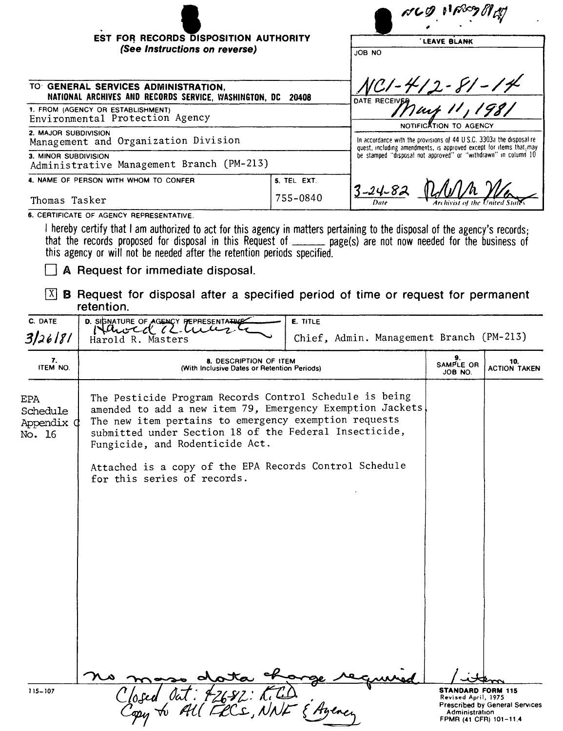|                                                                                                    |               | NCD NAMBRO                                                                                                                                                                                                                               |  |  |
|----------------------------------------------------------------------------------------------------|---------------|------------------------------------------------------------------------------------------------------------------------------------------------------------------------------------------------------------------------------------------|--|--|
| EST FOR RECORDS DISPOSITION AUTHORITY                                                              |               | LEAVE BLANK                                                                                                                                                                                                                              |  |  |
| (See Instructions on reverse)                                                                      |               | JOB NO                                                                                                                                                                                                                                   |  |  |
| TO GENERAL SERVICES ADMINISTRATION.<br>NATIONAL ARCHIVES AND RECORDS SERVICE, WASHINGTON, DC 20408 | DATE RECEIVER |                                                                                                                                                                                                                                          |  |  |
| 1. FROM (AGENCY OR ESTABLISHMENT)<br>Environmental Protection Agency                               | May 11, 1981  |                                                                                                                                                                                                                                          |  |  |
| 2. MAJOR SUBDIVISION<br>Management and Organization Division                                       |               | NOTIFICATION TO AGENCY<br>In accordance with the provisions of 44 U.S.C. 3303a the disposal re-<br>quest, including amendments, is approved except for items that, may<br>be stamped "disposal not approved" or "withdrawn" in column 10 |  |  |
| 3. MINOR SUBDIVISION<br>Administrative Management Branch (PM-213)                                  |               |                                                                                                                                                                                                                                          |  |  |
| 4. NAME OF PERSON WITH WHOM TO CONFER                                                              | 5. TEL EXT.   |                                                                                                                                                                                                                                          |  |  |
| Thomas Tasker                                                                                      | 755-0840      | $3 - 24 - 82$<br>Archivist of the United                                                                                                                                                                                                 |  |  |

**6. CERTIFICATE OF AGENCY REPRESENTATIVE.** 

I hereby certify that I am authorized to act for this agency in matters pertaining to the disposal of the agency's records; that the records proposed for disposal In this Request of page(s) are not now needed for the business of this agency or will not be needed after the retention periods specified.

D **<sup>A</sup> Request for immediate disposal.**

I]] **<sup>B</sup> Request for disposal after <sup>a</sup> specified period of time or request for permanent retention.**

| C. DATE<br>3/26181                      | D. SISNATURE OF AGENCY PEPRESENTATIVE<br>Harold R. Masters                                                                                                                                                                                                                 | E. TITLE<br>Chief, Admin. Management Branch (PM-213) |                                                                                             |                                       |
|-----------------------------------------|----------------------------------------------------------------------------------------------------------------------------------------------------------------------------------------------------------------------------------------------------------------------------|------------------------------------------------------|---------------------------------------------------------------------------------------------|---------------------------------------|
| 7.<br>ITEM NO.                          | 8. DESCRIPTION OF ITEM<br>(With Inclusive Dates or Retention Periods)                                                                                                                                                                                                      | SAMPLE OR<br>JOB NO.                                 | 10.<br><b>ACTION TAKEN</b>                                                                  |                                       |
| EPA<br>Schedule<br>Appendix ¢<br>No. 16 | The Pesticide Program Records Control Schedule is being<br>amended to add a new item 79, Emergency Exemption Jackets<br>The new item pertains to emergency exemption requests<br>submitted under Section 18 of the Federal Insecticide,<br>Fungicide, and Rodenticide Act. |                                                      |                                                                                             |                                       |
|                                         | Attached is a copy of the EPA Records Control Schedule<br>for this series of records.                                                                                                                                                                                      |                                                      |                                                                                             |                                       |
|                                         |                                                                                                                                                                                                                                                                            |                                                      |                                                                                             |                                       |
|                                         |                                                                                                                                                                                                                                                                            |                                                      |                                                                                             |                                       |
|                                         |                                                                                                                                                                                                                                                                            |                                                      |                                                                                             |                                       |
|                                         |                                                                                                                                                                                                                                                                            |                                                      |                                                                                             |                                       |
|                                         | dota                                                                                                                                                                                                                                                                       |                                                      |                                                                                             |                                       |
| 115-107                                 | 42682: KiTD<br>(FCCS, NNF & Ayene                                                                                                                                                                                                                                          |                                                      | <b>STANDARD FORM 115</b><br>Revised April, 1975<br>Administration<br>FPMR (41 CFR) 101-11.4 | <b>Prescribed by General Services</b> |